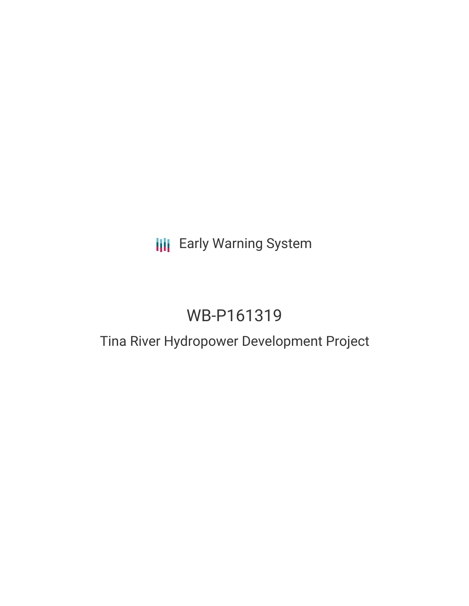## **III** Early Warning System

## WB-P161319

## Tina River Hydropower Development Project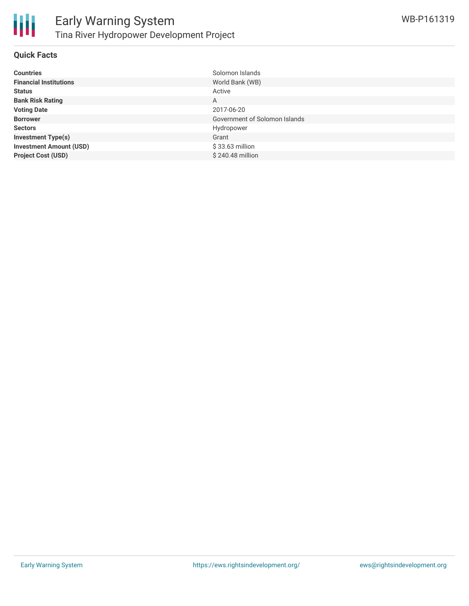

### **Quick Facts**

| <b>Countries</b>               | Solomon Islands               |
|--------------------------------|-------------------------------|
| <b>Financial Institutions</b>  | World Bank (WB)               |
| <b>Status</b>                  | Active                        |
| <b>Bank Risk Rating</b>        | A                             |
| <b>Voting Date</b>             | 2017-06-20                    |
| <b>Borrower</b>                | Government of Solomon Islands |
| <b>Sectors</b>                 | Hydropower                    |
| <b>Investment Type(s)</b>      | Grant                         |
| <b>Investment Amount (USD)</b> | $$33.63$ million              |
| <b>Project Cost (USD)</b>      | \$240.48 million              |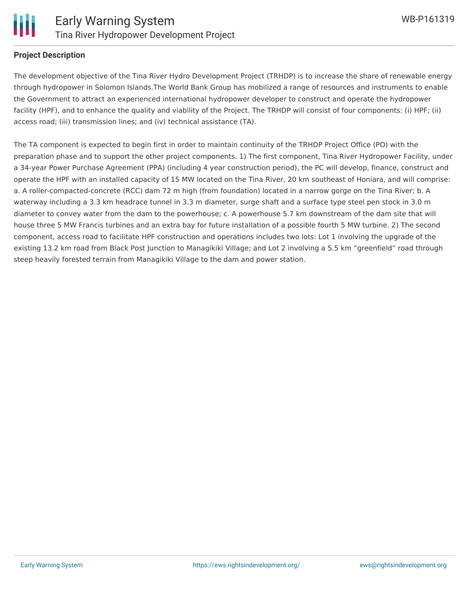

### **Project Description**

The development objective of the Tina River Hydro Development Project (TRHDP) is to increase the share of renewable energy through hydropower in Solomon Islands.The World Bank Group has mobilized a range of resources and instruments to enable the Government to attract an experienced international hydropower developer to construct and operate the hydropower facility (HPF), and to enhance the quality and viability of the Project. The TRHDP will consist of four components: (i) HPF; (ii) access road; (iii) transmission lines; and (iv) technical assistance (TA).

The TA component is expected to begin first in order to maintain continuity of the TRHDP Project Office (PO) with the preparation phase and to support the other project components. 1) The first component, Tina River Hydropower Facility, under a 34-year Power Purchase Agreement (PPA) (including 4 year construction period), the PC will develop, finance, construct and operate the HPF with an installed capacity of 15 MW located on the Tina River, 20 km southeast of Honiara, and will comprise: a. A roller-compacted-concrete (RCC) dam 72 m high (from foundation) located in a narrow gorge on the Tina River; b. A waterway including a 3.3 km headrace tunnel in 3.3 m diameter, surge shaft and a surface type steel pen stock in 3.0 m diameter to convey water from the dam to the powerhouse; c. A powerhouse 5.7 km downstream of the dam site that will house three 5 MW Francis turbines and an extra bay for future installation of a possible fourth 5 MW turbine. 2) The second component, access road to facilitate HPF construction and operations includes two lots: Lot 1 involving the upgrade of the existing 13.2 km road from Black Post Junction to Managikiki Village; and Lot 2 involving a 5.5 km "greenfield" road through steep heavily forested terrain from Managikiki Village to the dam and power station.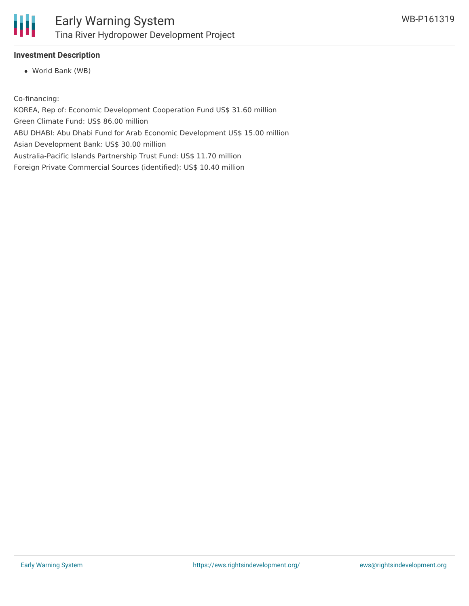

### **Investment Description**

World Bank (WB)

Co-financing:

KOREA, Rep of: Economic Development Cooperation Fund US\$ 31.60 million Green Climate Fund: US\$ 86.00 million ABU DHABI: Abu Dhabi Fund for Arab Economic Development US\$ 15.00 million Asian Development Bank: US\$ 30.00 million Australia-Pacific Islands Partnership Trust Fund: US\$ 11.70 million Foreign Private Commercial Sources (identified): US\$ 10.40 million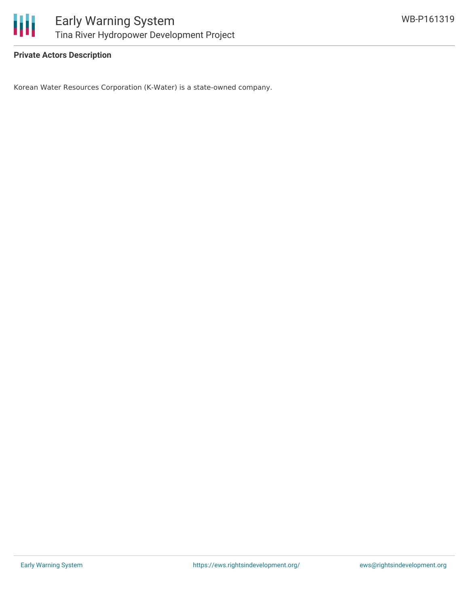

### **Private Actors Description**

Korean Water Resources Corporation (K-Water) is a state-owned company.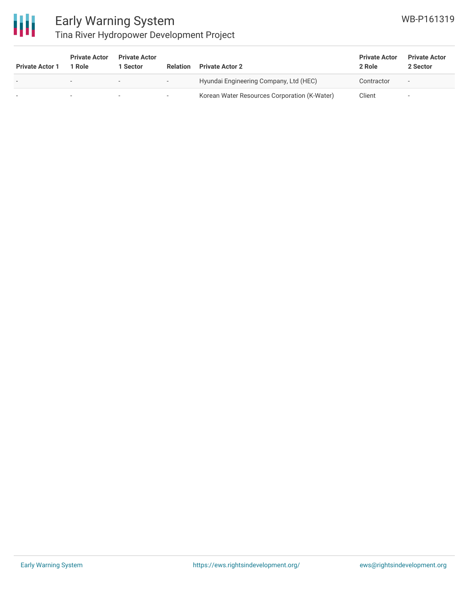

# Early Warning System

### Tina River Hydropower Development Project

| <b>Private Actor 1</b>   | <b>Private Actor</b><br>1 Role | <b>Private Actor</b><br>Sector | <b>Relation</b>          | <b>Private Actor 2</b>                       | <b>Private Actor</b><br>2 Role | <b>Private Actor</b><br>2 Sector |
|--------------------------|--------------------------------|--------------------------------|--------------------------|----------------------------------------------|--------------------------------|----------------------------------|
| $\overline{\phantom{0}}$ | $\overline{\phantom{0}}$       |                                | $\overline{\phantom{0}}$ | Hyundai Engineering Company, Ltd (HEC)       | Contractor                     | $\overline{\phantom{a}}$         |
| $\overline{\phantom{a}}$ | $\overline{\phantom{a}}$       |                                | ۰.                       | Korean Water Resources Corporation (K-Water) | Client                         | $\overline{\phantom{a}}$         |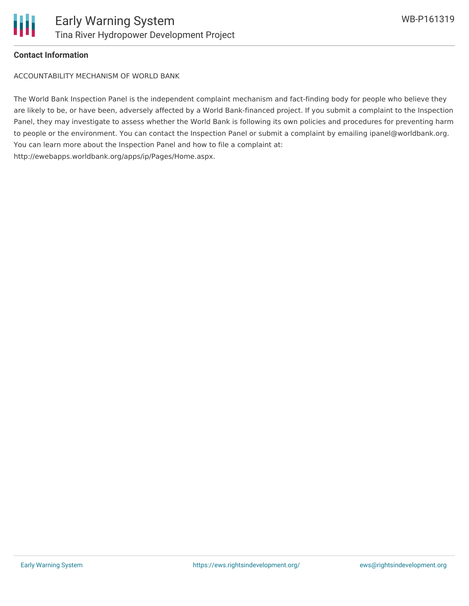

### **Contact Information**

ACCOUNTABILITY MECHANISM OF WORLD BANK

The World Bank Inspection Panel is the independent complaint mechanism and fact-finding body for people who believe they are likely to be, or have been, adversely affected by a World Bank-financed project. If you submit a complaint to the Inspection Panel, they may investigate to assess whether the World Bank is following its own policies and procedures for preventing harm to people or the environment. You can contact the Inspection Panel or submit a complaint by emailing ipanel@worldbank.org. You can learn more about the Inspection Panel and how to file a complaint at: http://ewebapps.worldbank.org/apps/ip/Pages/Home.aspx.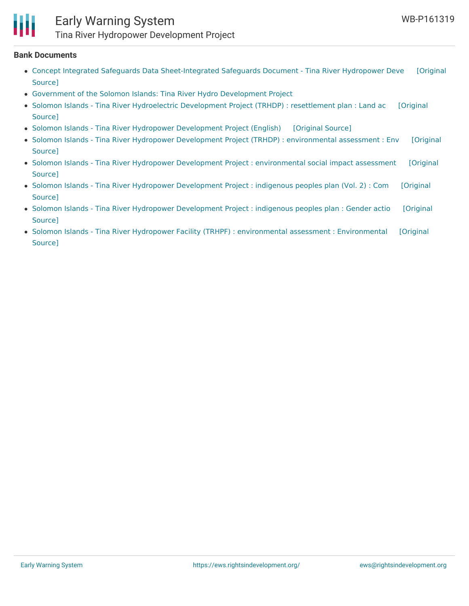

### Early Warning System

Tina River Hydropower Development Project

#### **Bank Documents**

- Concept Integrated Safeguards Data [Sheet-Integrated](https://ewsdata.rightsindevelopment.org/files/documents/19/WB-P161319_egeOFxf.pdf) Safeguards Document Tina River Hydropower Deve [Original Source]
- Government of the Solomon Islands: Tina River Hydro [Development](http://www.tina-hydro.com) Project
- Solomon Islands Tina River Hydroelectric [Development](http://documents.worldbank.org/curated/en/832721471415550419/pdf/SFG2369-REVISED-RP-P161319-Box402881B-PUBLIC-Disclosed-1-27-2017.pdf) Project (TRHDP) : resettlement plan : Land ac [Original Source]
- Solomon Islands Tina River Hydropower [Development](https://ewsdata.rightsindevelopment.org/files/documents/19/WB-P161319.pdf) Project (English) [\[Original](http://documents.worldbank.org/curated/en/374411494216143005/pdf/PIDISDSA20864-PSDS-REPLACEMENT-P161319-PUBLIC.pdf) Source]
- Solomon Islands Tina River Hydropower Development Project (TRHDP) : [environmental](https://ewsdata.rightsindevelopment.org/files/documents/19/WB-P161319_Q56h4Ym.pdf) assessment : Env [Original Source]
- Solomon Islands Tina River Hydropower Development Project : [environmental](https://ewsdata.rightsindevelopment.org/files/documents/19/WB-P161319_hfGuc6l.pdf) social impact assessment [Original Source]
- Solomon Islands Tina River Hydropower [Development](https://ewsdata.rightsindevelopment.org/files/documents/19/WB-P161319_NVloKiL.pdf) Project : indigenous peoples plan (Vol. 2) : Com [Original Source]
- Solomon Islands Tina River Hydropower [Development](https://ewsdata.rightsindevelopment.org/files/documents/19/WB-P161319_wpukekV.pdf) Project : indigenous peoples plan : Gender actio [Original Source]
- Solomon Islands Tina River Hydropower Facility (TRHPF) : environmental assessment : [Environmental](https://ewsdata.rightsindevelopment.org/files/documents/19/WB-P161319_FytZqfL.pdf) [Original Source]